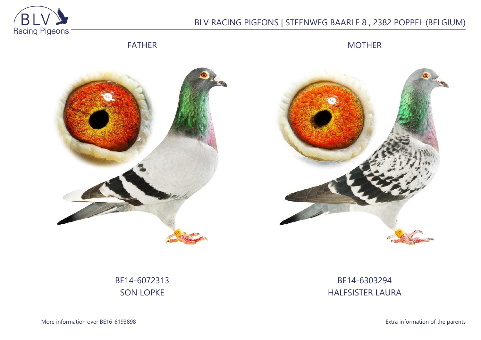

# BLV RACING PIGEONS | STEENWEG BAARLE 8 , 2382 POPPEL (BELGIUM)

FATHER

MOTHER





BE14-6072313 SON LOPKE

# BE14-6303294 HALFSISTER LAURA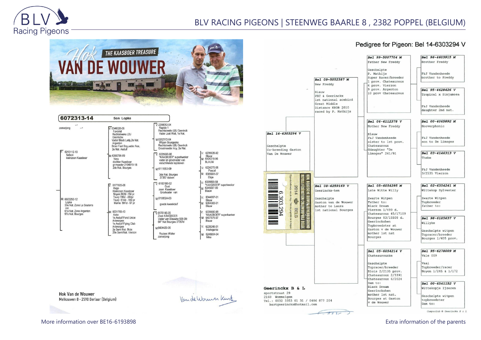

## BLV RACING PIGEONS | STEENWEG BAARLE 8 , 2382 POPPEL (BELGIUM)



| 6072313-14                                                                                               | Son Lopke                                                                                                                                                              |                                                                                                                                                                                                        |                                                 |
|----------------------------------------------------------------------------------------------------------|------------------------------------------------------------------------------------------------------------------------------------------------------------------------|--------------------------------------------------------------------------------------------------------------------------------------------------------------------------------------------------------|-------------------------------------------------|
| zomerjong<br>$\n  6213112 - 10\n$<br>Nelson                                                              | $V: 6346026-06$<br>Favoriet<br>Rechtstreeks LBJ<br>Geerinckx<br>Vader Black Lady, 2e Nat.<br>Argenton<br>Broer Fast Boy, vader Ace,<br>2e Nat. Asduif<br>M: 6358796-09 | $V: 2298053 - 04$<br>Rapido 1<br>Rechtstreeks LBJ Geerinck<br>Vader Just Wait, 1e Nat.<br>M:6202172-04<br>Witpen Bourgeske<br>Rechtstreeks LBJ Geerinck<br>Grootmoeder Acy, 2e Nat.<br>$V: 6335690-98$ | V: 6235626                                      |
| kleinzoon Kaashoer                                                                                       | Vera<br>dochter Kaasboer<br>gr moeder 2104519-18<br>2de Nat. Bourges                                                                                                   | "KAASBOER" superkweker<br>vader en grootvader van<br>verschillende topduiven                                                                                                                           | Blauw<br>M: 6404318<br><b>BLAUW</b>             |
|                                                                                                          |                                                                                                                                                                        | M:6111553-09<br>3de Nat. Bourges<br>37357 duiven                                                                                                                                                       | V: 6224270<br>Pasca<br>M: 6385691<br>Elsje      |
| M: 6023250-12<br>Lopke<br>33e Nat. Zone La Souterra<br>ine<br>61e Nat. Zone Argenton<br>97e Nat. Bourges | $\nabla 6177605-08$<br>Hugo<br>Kleinzoon Kaasboer<br>Noyon 802d -154 pr                                                                                                | $\nabla 6183100-02$<br>Gust<br>zoon Kaasboer<br>Grootvader van                                                                                                                                         | V. 6335690<br>"KAASB<br>M: 6345097<br>Blauw     |
|                                                                                                          | Toury 786d - 250pr<br>Toury 614d - 169 pr<br>Marne 591d - 97 pr                                                                                                        | M:6108024-03<br>goede kweekduif                                                                                                                                                                        | V: 6344997<br>Blauw<br>M: 6364383<br>Blauw      |
|                                                                                                          | M: 6031765-10<br>Aske<br>1e Asduif Fond Union<br>Antwerpen<br>1e Asduif Flying Club<br>Antwerpen<br>2e Semi Nat. Blois<br>29e Semi Nat. Vierzon                        | $\sqrt{6176146-05}$<br>Zoon KAASBOER<br>Vader van Blauwke 508-09:<br>64° Nat Bourges 37357d                                                                                                            | 6335690<br>IV:<br>"KAASB<br>M: 6407575<br>Blauw |
|                                                                                                          |                                                                                                                                                                        | м 6404429-06                                                                                                                                                                                           | V: 6225246<br>Intelege                          |
|                                                                                                          |                                                                                                                                                                        | <b>Roziers Walter</b><br>zomerjong                                                                                                                                                                     | 6246934<br>M:<br>Nike                           |

| 6235626-92<br>Blauw<br>6404318-96<br>BLAUW                  |
|-------------------------------------------------------------|
| 6224270-08<br>Pascal<br>6385691-07<br>Elsje                 |
| 6335690-98<br>"KAASBOER" superkweker<br>6345097-00<br>Blauw |
| 6344997-01<br>Blauw<br>6364383-01<br>Blauw                  |
| 6335690-98<br>"KAASBOER" superkweke<br>6407575-97<br>Blauw  |
| 6225246-01<br>Intelegente                                   |
| 6246934-04<br>Nike                                          |

#### Pedigree for Pigeon: Bel 14-6303294 V



**Hok Van de Wouwer** Melkouwen 8 - 2590 Berlaar (Belgium)

Van de Wormer Kurt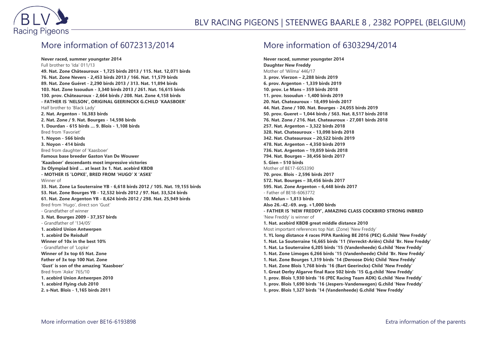

## More information of 6072313/2014

**Never raced, summer youngster 2014** Full brother to 'Ida' 011/13 **49. Nat. Zone Châteauroux - 1,725 birds 2013 / 115. Nat. 12,071 birds 76. Nat. Zone Nevers - 2,453 birds 2013 / 166. Nat. 11,579 birds 89. Nat. Zone Guéret - 2,290 birds 2013 / 313. Nat. 11,894 birds 103. Nat. Zone Issoudun - 3,340 birds 2013 / 261. Nat. 16,615 birds 130. prov. Châteauroux - 2,664 birds / 208. Nat. Zone 4,158 birds - FATHER IS 'NELSON', ORIGINAL GEERINCKX G.CHILD 'KAASBOER'** Half brother to 'Black Lady' **2. Nat. Argenton - 16,383 birds 2. Nat. Zone / 9. Nat. Bourges - 14,598 birds 1. Dourdan - 615 birds … 9. Blois - 1,108 birds** Bred from 'Favoriet' **1. Noyon - 566 birds 3. Noyon - 414 birds** Bred from daughter of 'Kaasboer' **Famous base breeder Gaston Van De Wouwer 'Kaasboer' descendants most impressive victories 3x Olympiad bird … at least 3x 1. Nat. acebird KBDB - MOTHER IS 'LOPKE', BRED FROM 'HUGO' X 'ASKE'** Winner of **33. Nat. Zone La Souterraine YB - 6,618 birds 2012 / 105. Nat. 19,155 birds 53. Nat. Zone Bourges YB - 12,532 birds 2012 / 97. Nat. 33,524 birds 61. Nat. Zone Argenton YB - 8,624 birds 2012 / 298. Nat. 25,949 birds** Bred from 'Hugo', direct son 'Gust' - Grandfather of winner **3. Nat. Bourges 2009 - 37,357 birds** - Grandfather of '134/05' **1. acebird Union Antwerpen 1. acebird De Reisduif Winner of 10x in the best 10%** - Grandfather of 'Lopke' **Winner of 3x top 65 Nat. Zone Father of 3x top 100 Nat. Zone 'Gust' is son of the amazing 'Kaasboer'** Bred from 'Aske' 765/10 **1. acebird Union Antwerpen 2010 1. acebird Flying club 2010 2. s-Nat. Blois - 1,165 birds 2011**

### More information of 6303294/2014

**Never raced, summer youngster 2014 Daughter New Freddy** Mother of 'Wilma' 446/17 **3. prov. Vierzon – 2,288 birds 2019 6. prov. Argenton - 1,339 birds 2019 10. prov. Le Mans – 359 birds 2018 11. prov. Issoudun - 1,400 birds 2019 20. Nat. Chateauroux - 18,499 birds 2017 44. Nat. Zone / 100. Nat. Bourges - 24,055 birds 2019 50. prov. Gueret – 1,044 birds / 563. Nat. 8,517 birds 2018 76. Nat. Zone / 216. Nat. Chateauroux - 27,081 birds 2018 257. Nat. Argenton – 3,322 birds 2018 328. Nat. Chateauroux - 13,098 birds 2018 342. Nat. Chateauroux – 20,522 birds 2019 478. Nat. Argenton – 4,350 birds 2019 736. Nat. Argenton – 19,859 birds 2018 794. Nat. Bourges – 38,456 birds 2017 5. Gien – 510 birds** Mother of BE17-6053390 **70. prov. Blois - 2,596 birds 2017 572. Nat. Bourges – 38,456 birds 2017 595. Nat. Zone Argenton – 6,448 birds 2017** - Father of BE18-6063772 **10. Melun – 1,813 birds Also 26.-42.-69. avg. +1,000 birds - FATHER IS 'NEW FREDDY', AMAZING CLASS COCKBIRD STRONG INBRED** 'New Freddy' is winner of **1. Nat. acebird KBDB great middle distance 2010** Most important references top Nat. (Zone) 'New Freddy' **1. YL long distance 4 races PIPA Ranking BE 2016 (PEC) G.child 'New Freddy' 1. Nat. La Souterraine 16,665 birds '11 (Verreckt-Ariën) Child 'Br. New Freddy' 1. Nat. La Souterraine 6,205 birds '15 (Vandenheede) G.child 'New Freddy' 1. Nat. Zone Limoges 6,266 birds '15 (Vandenheede) Child 'Br. New Freddy' 1. Nat. Zone Bourges 1,319 birds '14 (Deroose Dirk) Child 'New Freddy' 1. Nat. Zone Blois 1,768 birds '16 (Bart Geerinckx) Child 'New Freddy' 1. Great Derby Algarve final Race 502 birds '15 G.g.child 'New Freddy' 1. prov. Blois 1,930 birds '16 (PEC Racing Team ADK) G.child 'New Freddy' 1. prov. Blois 1,690 birds '16 (Jespers-Vandenwegen) G.child 'New Freddy' 1. prov. Blois 1,327 birds '14 (Vandenheede) G.child 'New Freddy'**